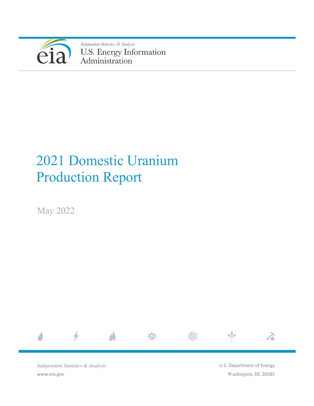

Independent Statistics & Analysis U.S. Energy Information<br>Administration

# 2021 Domestic Uranium Production Report

May 2022



*Independent Statistics & Analysis* www.eia.gov

U.S. Department of Energy Washington, DC 20585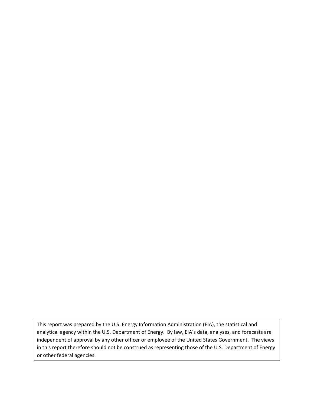This report was prepared by the U.S. Energy Information Administration (EIA), the statistical and analytical agency within the U.S. Department of Energy. By law, EIA's data, analyses, and forecasts are independent of approval by any other officer or employee of the United States Government. The views in this report therefore should not be construed as representing those of the U.S. Department of Energy or other federal agencies.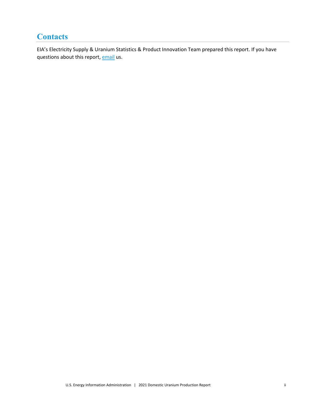# <span id="page-2-0"></span>**Contacts**

EIA's Electricity Supply & Uranium Statistics & Product Innovation Team prepared this report. If you have questions about this report, [email](mailto:InfoNuclearData@eia.gov) us.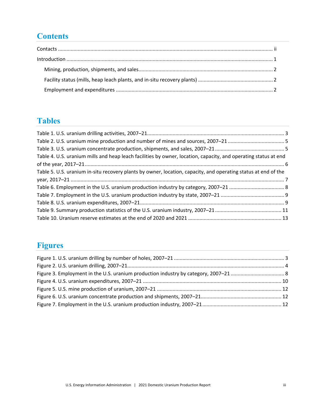# **Contents**

# **Tables**

| Table 4. U.S. uranium mills and heap leach facilities by owner, location, capacity, and operating status at end |  |
|-----------------------------------------------------------------------------------------------------------------|--|
|                                                                                                                 |  |
| Table 5. U.S. uranium in-situ recovery plants by owner, location, capacity, and operating status at end of the  |  |
|                                                                                                                 |  |
|                                                                                                                 |  |
|                                                                                                                 |  |
|                                                                                                                 |  |
|                                                                                                                 |  |
|                                                                                                                 |  |

# **Figures**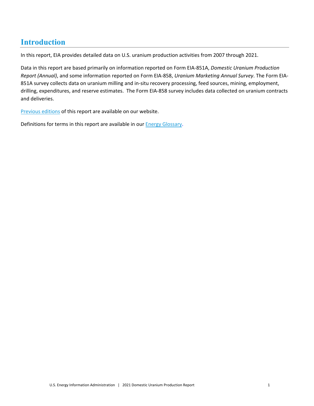# <span id="page-4-0"></span>**Introduction**

In this report, EIA provides detailed data on U.S. uranium production activities from 2007 through 2021.

Data in this report are based primarily on information reported on Form EIA-851A, *Domestic Uranium Production Report (Annual)*, and some information reported on Form EIA-858, *Uranium Marketing Annual Survey*. The Form EIA-851A survey collects data on uranium milling and in-situ recovery processing, feed sources, mining, employment, drilling, expenditures, and reserve estimates. The Form EIA-858 survey includes data collected on uranium contracts and deliveries.

[Previous editions](https://www.eia.gov/nuclear/) of this report are available on our website.

Definitions for terms in this report are available in our **Energy Glossary**.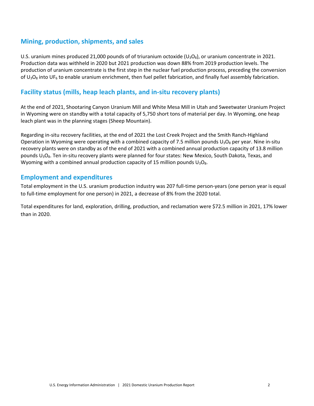# <span id="page-5-0"></span>**Mining, production, shipments, and sales**

U.S. uranium mines produced 21,000 pounds of of triuranium octoxide ( $U_3O_8$ ), or uranium concentrate in 2021. Production data was withheld in 2020 but 2021 production was down 88% from 2019 production levels. The production of uranium concentrate is the first step in the nuclear fuel production process, preceding the conversion of  $U_3O_8$  into UF<sub>6</sub> to enable uranium enrichment, then fuel pellet fabrication, and finally fuel assembly fabrication.

# <span id="page-5-1"></span>**Facility status (mills, heap leach plants, and in-situ recovery plants)**

At the end of 2021, Shootaring Canyon Uranium Mill and White Mesa Mill in Utah and Sweetwater Uranium Project in Wyoming were on standby with a total capacity of 5,750 short tons of material per day. In Wyoming, one heap leach plant was in the planning stages (Sheep Mountain).

Regarding in-situ recovery facilities, at the end of 2021 the Lost Creek Project and the Smith Ranch-Highland Operation in Wyoming were operating with a combined capacity of 7.5 million pounds  $U_3O_8$  per year. Nine in-situ recovery plants were on standby as of the end of 2021 with a combined annual production capacity of 13.8 million pounds U<sub>3</sub>O<sub>8</sub>. Ten in-situ recovery plants were planned for four states: New Mexico, South Dakota, Texas, and Wyoming with a combined annual production capacity of 15 million pounds  $U_3O_8$ .

# <span id="page-5-2"></span>**Employment and expenditures**

Total employment in the U.S. uranium production industry was 207 full-time person-years (one person year is equal to full-time employment for one person) in 2021, a decrease of 8% from the 2020 total.

Total expenditures for land, exploration, drilling, production, and reclamation were \$72.5 million in 2021, 17% lower than in 2020.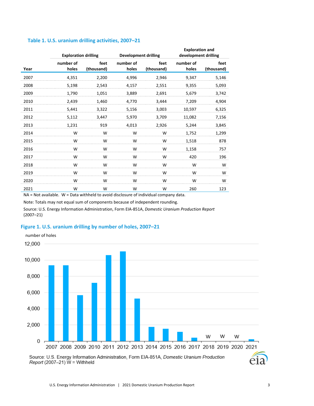|      | <b>Exploration drilling</b> |                    | <b>Development drilling</b> |                    | <b>Exploration and</b><br>development drilling |                    |  |  |
|------|-----------------------------|--------------------|-----------------------------|--------------------|------------------------------------------------|--------------------|--|--|
| Year | number of<br>holes          | feet<br>(thousand) | number of<br>holes          | feet<br>(thousand) | number of<br>holes                             | feet<br>(thousand) |  |  |
| 2007 | 4,351                       | 2,200              | 4,996                       | 2,946              | 9,347                                          | 5,146              |  |  |
| 2008 | 5,198                       | 2,543              | 4,157                       | 2,551              | 9,355                                          | 5,093              |  |  |
| 2009 | 1,790                       | 1,051              | 3,889                       | 2,691              | 5,679                                          | 3,742              |  |  |
| 2010 | 2,439                       | 1,460              | 4,770                       | 3,444              | 7,209                                          | 4,904              |  |  |
| 2011 | 5,441                       | 3,322              | 5,156                       | 3,003              | 10,597                                         | 6,325              |  |  |
| 2012 | 5,112                       | 3,447              | 5,970                       | 3,709              | 11,082                                         | 7,156              |  |  |
| 2013 | 1,231                       | 919                | 4,013                       | 2,926              | 5,244                                          | 3,845              |  |  |
| 2014 | W                           | W                  | W                           | W                  | 1,752                                          | 1,299              |  |  |
| 2015 | W                           | W                  | W                           | W                  | 1,518                                          | 878                |  |  |
| 2016 | W                           | W                  | W                           | W                  | 1,158                                          | 757                |  |  |
| 2017 | W                           | W                  | W                           | W                  | 420                                            | 196                |  |  |
| 2018 | W                           | W                  | W                           | W                  | W                                              | W                  |  |  |
| 2019 | W                           | W                  | W                           | W                  | W                                              | W                  |  |  |
| 2020 | W                           | W                  | W                           | W                  | W                                              | W                  |  |  |
| 2021 | W                           | W                  | W                           | W                  | 260                                            | 123                |  |  |

#### <span id="page-6-0"></span>**Table 1. U.S. uranium drilling activities, 2007–21**

NA = Not available. W = Data withheld to avoid disclosure of individual company data.

Note: Totals may not equal sum of components because of independent rounding.

Source: U.S. Energy Information Administration, Form EIA-851A, *Domestic Uranium Production Report* (2007–21)

#### <span id="page-6-1"></span>**Figure 1. U.S. uranium drilling by number of holes, 2007–21**



Source: U.S. Energy Information Administration, Form EIA-851A, Domestic Uranium Production Report (2007-21)  $W =$  Withheld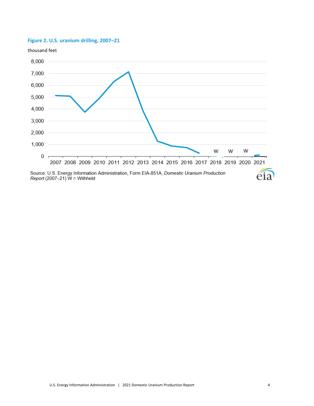## <span id="page-7-0"></span>**Figure 2. U.S. uranium drilling, 2007–21**



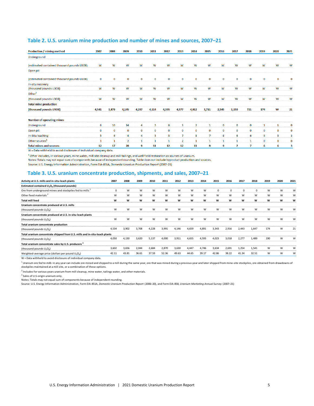#### <span id="page-8-0"></span>**Table 2. U.S. uranium mine production and number of mines and sources, 2007–21**

| <b>Production / mining method</b>          | 2007        | 2008         | 2009           | 2010         | 2011         | 2012        | 2013           | 2014           | 2015           | 2016        | 2017     | 2018     | 2019        | 2020 | 2021        |
|--------------------------------------------|-------------|--------------|----------------|--------------|--------------|-------------|----------------|----------------|----------------|-------------|----------|----------|-------------|------|-------------|
| Underground                                |             |              |                |              |              |             |                |                |                |             |          |          |             |      |             |
| (estimated contained thousand pounds U3O8) | W           | W            | W              | w            | w            | W           | W              | W              | W              | W           | W        | W        | w           | W    | w           |
| Open pit                                   |             |              |                |              |              |             |                |                |                |             |          |          |             |      |             |
| (estimated contained thousand pounds U3O8) | $\mathbf 0$ | 0            | $\mathbf 0$    | 0            | 0            | 0           | 0              | 0              | $\mathbf 0$    | $\mathbf 0$ | $\Omega$ | $\Omega$ | $\Omega$    | 0    |             |
| In-situ recovery                           |             |              |                |              |              |             |                |                |                |             |          |          |             |      |             |
| (thousand pounds U3O8)                     | w           | W            | w              | w            | w            | w           | W              | W              | w              | W           | w        | w        | W           | W    | W           |
| Other <sup>1</sup>                         |             |              |                |              |              |             |                |                |                |             |          |          |             |      |             |
| (thousand pounds U3O8)                     | W           | W            | W              | W            | w            | W           | W              | W              | W              | W           | w        | W        | W           | W    | W           |
| <b>Total mine production</b>               |             |              |                |              |              |             |                |                |                |             |          |          |             |      |             |
| (thousand pounds U3O8)                     | 4,541       | 3,879        | 4,145          | 4,237        | 4,114        | 4,335       | 4,577          | 4,912          | 3,711          | 2,545       | 1,150    | 721      | 174         | W    | 21          |
| <b>Number of operating mines</b>           |             |              |                |              |              |             |                |                |                |             |          |          |             |      |             |
| Underground                                | 6           | 10           | 14             | 4            | 5            | 6           | 3              | $\overline{2}$ | 1              | $\mathbf 0$ | 0        | 0        | -1          | 1    | o           |
| Open pit                                   | $\mathbf 0$ | $\mathbf 0$  | $\mathbf 0$    | $\mathbf 0$  | 0            | $\mathbf 0$ | $\mathbf 0$    | $\mathbf 0$    | $\mathbf 0$    | $\mathbf 0$ | 0        | $\bf{0}$ | $\mathbf 0$ | 0    | $\mathbf 0$ |
| In-Situ leaching                           | -5          | 6            | 4              | 4            | 5            | 5           | 7              | 8              | $\overline{7}$ | 8           | 6        | 6        | 5           | 5    | ٠           |
| Other sources <sup>1</sup>                 | -1          | $\mathbf{1}$ | $\overline{2}$ | $\mathbf{1}$ | $\mathbf{1}$ | 1           | $\overline{2}$ | $\mathbf{1}$   | 1              | 1           | 1        |          | $\mathbf 0$ | 0    | $\mathbf 0$ |
| <b>Total mines and sources</b>             | 12          | 17           | 20             | 9            | 11           | 12          | 12             | 11             | 9              | 9           | 7        |          | 6           | 6    |             |

W = Data withheld to avoid disclosure of individual company data.

<sup>1</sup> Other includes, in various years, mine water, mill site cleanup and mill tailings, and well field restoration as sources of uranium.

Notes: Totals may not equal sum of components because of independent rounding. Table does not include byproduct production and sources.

Source: U.S. Energy Information Administration, Form EIA-851A, Domestic Uranium Production Report (2007-21)

#### <span id="page-8-1"></span>**Table 3. U.S. uranium concentrate production, shipments, and sales, 2007–21**

| Activity at U.S. mills and in-situ-leach plants                            | 2007     | 2008  | 2009  | 2010  | 2011  | 2012  | 2013  | 2014  | 2015  | 2016  | 2017     | 2018        | 2019 | 2020 | 2021 |
|----------------------------------------------------------------------------|----------|-------|-------|-------|-------|-------|-------|-------|-------|-------|----------|-------------|------|------|------|
| Estimated contained U <sub>3</sub> O <sub>8</sub> (thousand pounds)        |          |       |       |       |       |       |       |       |       |       |          |             |      |      |      |
| Ore from underground mines and stockpiles fed to mills 1                   | $\Omega$ | W     | W     | w     | W     | w     | W     | W     | 0     | 0     | $\Omega$ | $\mathbf 0$ | W    | W    | W    |
| Other feed materials <sup>2</sup>                                          | W        | w     | W     | w     | W     | w     | W     | W     | W     | W     | W        | W           | W    | W    | w    |
| <b>Total mill feed</b>                                                     | W        | w     | W     | w     | W     | W     | W     | W     | W     | W     | W        | W           | w    | W    | w    |
| Uranium concentrate produced at U.S. mills                                 |          |       |       |       |       |       |       |       |       |       |          |             |      |      |      |
| (thousand pounds $U_3O_8$ )                                                | W        | W     | W     | W     | W     | W     | W     | W     | w     | W     | W        | W           | W    | W    | W    |
| Uranium concentrate produced at U.S. in-situ-leach plants                  |          |       |       |       |       |       |       |       |       |       |          |             |      |      |      |
| (thousand pounds $U_3O_8$ )                                                | W        | W     | W     | W     | W     | w     | W     | W     | W     | W     | W        | W           | W    | W    | W    |
| Total uranium concentrate production                                       |          |       |       |       |       |       |       |       |       |       |          |             |      |      |      |
| (thousand pounds $U_3O_8$ )                                                | 4,534    | 3,902 | 3,708 | 4,228 | 3,991 | 4,146 | 4,659 | 4,891 | 3,343 | 2,916 | 2,443    | 1,647       | 174  | W    | 21   |
| Total uranium concentrate shipped from U.S. mills and in-situ-leach plants |          |       |       |       |       |       |       |       |       |       |          |             |      |      |      |
| (thousand pounds $U_3O_8$ )                                                | 4,050    | 4,130 | 3,620 | 5,137 | 4.000 | 3,911 | 4,655 | 4.593 | 4.023 | 3,018 | 2,277    | 1.489       | 190  | W    | W    |
| Total uranium concentrate sales by U.S. producers <sup>3</sup>             |          |       |       |       |       |       |       |       |       |       |          |             |      |      |      |
| (thousand pounds $U_3O_8$ )                                                | 3,602    | 3,656 | 2,044 | 2,684 | 2,870 | 3,630 | 4,447 | 4,746 | 3,634 | 2,691 | 1,254    | 1,541       | W    | W    | W    |
| Weighted-average price (dollars per pound U <sub>3</sub> O <sub>8</sub> )  | 42.11    | 43.81 | 36.61 | 37.59 | 52.36 | 49.63 | 44.65 | 39.17 | 42.86 | 38.22 | 41.34    | 32.51       | W    | W    | W    |

W = Data withheld to avoid disclosure of individual company data.

<sup>1</sup> Uranium ore fed to mills in any year can include ore mined and shipped to a mill during the same year, ore that was mined during a previous year and later shipped from mine-site stockpiles, ore obtained from drawdowns stockpiles maintained at a mill site, or a combination of these options.

<sup>2</sup> Includes for various years uranium from mill cleanup, mine water, tailings water, and other materials.

<sup>3</sup> Sales of U.S-origin uranium only.

Notes: Totals may not equal sum of components because of independent rounding.

Source: U.S. Energy Information Administration, Form EIA-851A, *Domestic Uranium Production Report* (2006–20), and Form EIA-858, *Uranium Marketing Annual Survey* (2007–21)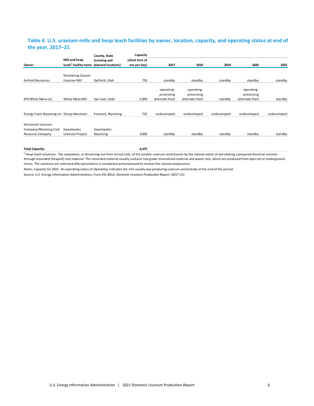### <span id="page-9-0"></span>**Table 4. U.S. uranium mills and heap leach facilities by owner, location, capacity, and operating status at end of the year, 2017–21**

|                                         |                                                                      | County, State    | Capacity                       |                |                |             |                |             |
|-----------------------------------------|----------------------------------------------------------------------|------------------|--------------------------------|----------------|----------------|-------------|----------------|-------------|
| Owner                                   | Mill and heap<br>leach <sup>1</sup> facility name planned locations) | (existing and    | (short tons of<br>ore per day) | 2017           | 2018           | 2019        | 2020           | 2021        |
|                                         | Shootaring Canyon                                                    |                  |                                |                |                |             |                |             |
| Anfield Resources                       | Uranium Mill                                                         | Garfield, Utah   | 750                            | standby        | standby        | standby     | standby        | standby     |
|                                         |                                                                      |                  |                                | operating-     | operating-     |             | operating-     |             |
|                                         |                                                                      |                  |                                | processing     | processing     |             | processing     |             |
| EFR White Mesa LLC                      | White Mesa Mill                                                      | San Juan, Utah   | 2,000                          | alternate feed | alternate feed | standby     | alternate feed | standby     |
| Energy Fuels Wyoming Inc Sheep Mountain |                                                                      | Fremont, Wyoming | 725                            | undeveloped    | undeveloped    | undeveloped | undeveloped    | undeveloped |
| Kennecott Uranium                       |                                                                      |                  |                                |                |                |             |                |             |
| Company/Wyoming Coal                    | Sweetwater                                                           | Sweetwater,      |                                |                |                |             |                |             |
| <b>Resource Company</b>                 | Uranium Project                                                      | Wyoming          | 3.000                          | standby        | standby        | standby     | standby        | standby     |
|                                         |                                                                      |                  |                                |                |                |             |                |             |

**Total Capacity: 6,475**

<sup>1</sup> Heap leach solutions: The separation, or dissolving-out from mined rock, of the soluble uranium constituents by the natural action of percolating a prepared chemical solution through mounded (heaped) rock material. The mounded material usually contains low grade mineralized material and waste rock, which are produced from open pit or underground mines. The solutions are collected after percolation is completed and processed to recover the valued components.

Notes: Capacity for 2021. An operating status of *Operating* indicates the mill usually was producing uranium concentrate at the end of the period.

Source: U.S. Energy Information Administration, Form EIA-851A, *Domestic Uranium Production Report* (2017–21)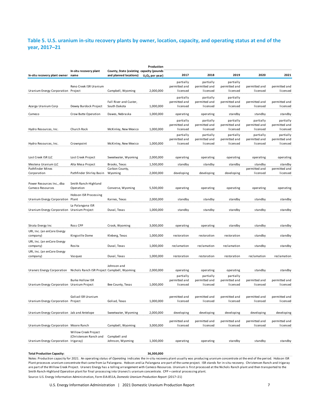### <span id="page-10-0"></span>**Table 5. U.S. uranium in-situ recovery plants by owner, location, capacity, and operating status at end of the year, 2017–21**

| In-situ recovery plant owner name             | In-situ recovery plant                         | County, State (existing capacity (pounds<br>and planned locations) | Production<br>$U_3O_8$ per year) | 2017                                   | 2018                                   | 2019                                   | 2020                                   | 2021                                   |
|-----------------------------------------------|------------------------------------------------|--------------------------------------------------------------------|----------------------------------|----------------------------------------|----------------------------------------|----------------------------------------|----------------------------------------|----------------------------------------|
|                                               | Reno Creek ISR Uranium                         |                                                                    |                                  | partially<br>permitted and             | partially<br>permitted and             | partially<br>permitted and             | permitted and                          | permitted and                          |
| Uranium Energy Corporation Project            |                                                | Campbell, Wyoming                                                  | 2,000,000                        | licensed<br>partially                  | licensed<br>partially                  | licensed<br>partially                  | licensed                               | licensed                               |
| Azarga Uranium Corp                           | Dewey Burdock Project                          | Fall River and Custer,<br>South Dakota                             | 1,000,000                        | permitted and<br>licensed              | permitted and<br>licensed              | permitted and<br>licensed              | permitted and<br>licensed              | permitted and<br>licensed              |
| Cameco                                        | Crow Butte Operation                           | Dawes, Nebraska                                                    | 1,000,000                        | operating                              | operating                              | standby                                | standby                                | standby                                |
| Hydro Resources, Inc.                         | Church Rock                                    | McKinley, New Mexico                                               | 1,000,000                        | partially<br>permitted and<br>licensed | partially<br>permitted and<br>licensed | partially<br>permitted and<br>licensed | partially<br>permitted and<br>licensed | partially<br>permitted and<br>licensed |
| Hydro Resources, Inc.                         | Crownpoint                                     | McKinley, New Mexico                                               | 1,000,000                        | partially<br>permitted and<br>licensed | partially<br>permitted and<br>licensed | partially<br>permitted and<br>licensed | partially<br>permitted and<br>licensed | partially<br>permitted and<br>licensed |
| Lost Creek ISR LLC                            | Lost Creek Project                             | Sweetwater, Wyoming                                                | 2,000,000                        | operating                              | operating                              | operating                              | operating                              | operating                              |
| Mestena Uranium LLC                           | Alta Mesa Project                              | Brooks, Texas                                                      | 1,500,000                        | standby                                | standby                                | standby                                | standby                                | standby                                |
| Pathfinder Mines<br>Corporation               | Pathfinder Shirley Basin                       | Carbon County,<br>Wyoming                                          | 2,000,000                        | developing                             | developing                             | developing                             | permitted and<br>licensed              | permitted and<br>licensed              |
| Power Resources Inc., dba<br>Cameco Resources | Smith Ranch-Highland<br>Operation              | Converse, Wyoming                                                  | 5,500,000                        | operating                              | operating                              | operating                              | operating                              | operating                              |
| Uranium Energy Corporation Plant              | Hobson ISR Processing                          | Karnes, Texas                                                      | 2,000,000                        | standby                                | standby                                | standby                                | standby                                | standby                                |
| Uranium Energy Corporation Uranium Project    | La Palangana ISR                               | Duval, Texas                                                       | 1,000,000                        | standby                                | standby                                | standby                                | standby                                | standby                                |
| Strata Energy Inc                             | Ross CPP                                       | Crook, Wyoming                                                     | 3,000,000                        | operating                              | operating                              | standby                                | standby                                | standby                                |
| URI, Inc. (an enCore Energy<br>company)       | Kingsville Dome                                | Kleberg, Texas                                                     | 1,000,000                        | restoration                            | restoration                            | restoration                            | standby                                | standby                                |
| URI, Inc. (an enCore Energy<br>company)       | Rosita                                         | Duval, Texas                                                       | 1,000,000                        | reclamation                            | reclamation                            | reclamation                            | standby                                | standby                                |
| URI, Inc. (an enCore Energy<br>company)       | Vasquez                                        | Duval, Texas                                                       | 1,000,000                        | restoration                            | restoration                            | restoration                            | reclamation                            | reclamation                            |
| Uranerz Energy Corporation                    | Nichols Ranch ISR Project Campbell, Wyoming    | Johnson and                                                        | 2,000,000                        | operating                              | operating                              | operating                              | standby                                | standby                                |
| Uranium Energy Corporation Uranium Project    | <b>Burke Hollow ISR</b>                        | Bee County, Texas                                                  | 1,000,000                        | partially<br>permitted and<br>licensed | partially<br>permitted and<br>licensed | partially<br>permitted and<br>licensed | permitted and<br>licensed              | permitted and<br>licensed              |
| Uranium Energy Corporation Project            | Goliad ISR Uranium                             | Goliad, Texas                                                      | 1,000,000                        | permitted and<br>licensed              | permitted and<br>licensed              | permitted and<br>licensed              | permitted and<br>licensed              | permitted and<br>licensed              |
| Uranium Energy Corporation Jab and Antelope   |                                                | Sweetwater, Wyoming                                                | 2,000,000                        | developing                             | developing                             | developing                             | developing                             | developing                             |
| Uranium Energy Corporation Moore Ranch        |                                                | Campbell, Wyoming                                                  | 3,000,000                        | permitted and<br>licensed              | permitted and<br>licensed              | permitted and<br>licensed              | permitted and<br>licensed              | permitted and<br>licensed              |
| Uranium Energy Corporation Irigaray)          | Willow Creek Project<br>(Christensen Ranch and | Campbell and<br>Johnson, Wyoming                                   | 1,300,000                        | operating                              | operating                              | standby                                | standby                                | standby                                |

**Total Production Capacity: 36,300,000**

Notes: Production capacity for 2021. An operating status of *Operating* indicates the in-situ recovery plant usually was producing uranium concentrate at the end of the period. Hobson ISR Plant processes uranium concentrate that came from La Palangana. Hobson and La Palangana are part of the same project. ISR stands for in-situ recovery. Christensen Ranch and Irigaray are part of the Willow Creek Project. Uranerz Energy has a tolling arrangement with Cameco Resources. Uranium is first processed at the Nichols Ranch plant and then transported to the Smith Ranch-Highland Operation plant for final processing into Uranerz's uranium concentrate. CPP = central processing plant.

Source: U.S. Energy Information Administration, Form EIA-851A, *Domestic Uranium Production Report* (2017–21)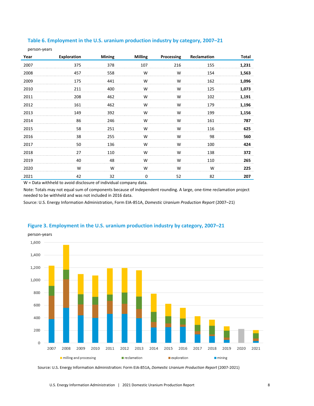<span id="page-11-0"></span>

| Table 6. Employment in the U.S. uranium production industry by category, 2007–21 |  |  |  |  |
|----------------------------------------------------------------------------------|--|--|--|--|
|----------------------------------------------------------------------------------|--|--|--|--|

person-years

| Year | <b>Exploration</b> | <b>Mining</b> | <b>Milling</b> | Processing | Reclamation | <b>Total</b> |
|------|--------------------|---------------|----------------|------------|-------------|--------------|
| 2007 | 375                | 378           | 107            | 216        | 155         | 1,231        |
| 2008 | 457                | 558           | W              | W          | 154         | 1,563        |
| 2009 | 175                | 441           | W              | W          | 162         | 1,096        |
| 2010 | 211                | 400           | W              | W          | 125         | 1,073        |
| 2011 | 208                | 462           | W              | W          | 102         | 1,191        |
| 2012 | 161                | 462           | W              | W          | 179         | 1,196        |
| 2013 | 149                | 392           | W              | W          | 199         | 1,156        |
| 2014 | 86                 | 246           | W              | W          | 161         | 787          |
| 2015 | 58                 | 251           | W              | W          | 116         | 625          |
| 2016 | 38                 | 255           | W              | W          | 98          | 560          |
| 2017 | 50                 | 136           | W              | W          | 100         | 424          |
| 2018 | 27                 | 110           | W              | W          | 138         | 372          |
| 2019 | 40                 | 48            | W              | W          | 110         | 265          |
| 2020 | W                  | W             | W              | W          | W           | 225          |
| 2021 | 42                 | 32            | 0              | 52         | 82          | 207          |

W = Data withheld to avoid disclosure of individual company data.

Note: Totals may not equal sum of components because of independent rounding. A large, one-time reclamation project needed to be withheld and was not included in 2016 data.

Source: U.S. Energy Information Administration, Form EIA-851A, *Domestic Uranium Production Report* (2007–21)



#### <span id="page-11-1"></span>**Figure 3. Employment in the U.S. uranium production industry by category, 2007–21**

Source: U.S. Energy Information Administration: Form EIA-851A, Domestic Uranium Production Report (2007-2021)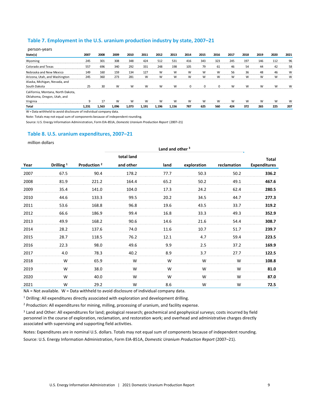#### <span id="page-12-0"></span>**Table 7. Employment in the U.S. uranium production industry by state, 2007–21**

| person-years                       |                                   |      |       |          |                               |       |       |      |                                     |                                         |                                 |                                            |                                       |      |      |
|------------------------------------|-----------------------------------|------|-------|----------|-------------------------------|-------|-------|------|-------------------------------------|-----------------------------------------|---------------------------------|--------------------------------------------|---------------------------------------|------|------|
| State(s)                           | 2007                              | 2008 | 2009  | 2010     | 2011                          | 2012  | 2013  | 2014 | 2015                                | 2016                                    | 2017                            | 2018                                       | 2019                                  | 2020 | 2021 |
| Wyoming                            | 245                               | 301  | 308   | 348      | 424                           | 512   | 531   | 416  | 343                                 | 323                                     | 245                             | 197                                        | 146                                   | 112  |      |
| Colorado and Texas                 | 557<br>was now entered with the t | 696  | 340   | 292      | 331<br>was sensor was not not | 248   | 198   | 105  | 79<br>was not source was not source | 61<br>and we would will six workers and | 46<br>was not was sourced was a | 54<br><b>CONTRACTOR</b> WAS IMPOUNDED BEEN | 44<br><b>CONTRACTOR</b> AND MOVE WITH | 42   | 58   |
| Nebraska and New Mexico            | 149                               | 160  | 159   | 134      | 127                           |       |       | W    | W                                   | W<br>----------                         | 56<br>the same and company was  | 36                                         | 48<br>---------                       | 46   | w    |
| Arizona, Utah, and Washington      | 245                               | 360  | 273   | 281      | w                             |       |       | W    | w                                   | W                                       | W                               | w                                          | W                                     | w    | W    |
| Alaska, Michigan, Nevada, and      |                                   |      |       |          |                               |       |       |      |                                     |                                         |                                 |                                            |                                       |      |      |
| South Dakota                       |                                   | 30   | W     | <b>W</b> | M                             |       |       |      |                                     |                                         | w                               | w                                          | W                                     |      |      |
| California, Montana, North Dakota, |                                   |      |       |          |                               |       |       |      |                                     |                                         |                                 |                                            |                                       |      |      |
| Oklahoma, Oregon, Utah, and        |                                   |      |       |          |                               |       |       |      |                                     |                                         |                                 |                                            |                                       |      |      |
| Virginia                           |                                   | 17   | W     | W        | W                             | w     |       | w    | W                                   | w                                       | w                               | w                                          | W                                     | w    |      |
| Total                              | . 231                             | .563 | 1.096 | 1.073    | 1.191                         | 1.196 | 1.156 | 787  | 625                                 | 560                                     | 424                             | 372                                        | 265                                   | 225  | 207  |
|                                    |                                   |      |       |          |                               |       |       |      |                                     |                                         |                                 |                                            |                                       |      |      |

W = Data withheld to avoid disclosure of individual company data.

Note: Totals may not equal sum of components because of independent rounding.

Source: U.S. Energy Information Administration, Form EIA-851A, *Domestic Uranium Production Report* (2007–21)

#### <span id="page-12-1"></span>**Table 8. U.S. uranium expenditures, 2007–21**

million dollars

|      |                       |                         |            |      | Land and other <sup>3</sup> |             |                     |
|------|-----------------------|-------------------------|------------|------|-----------------------------|-------------|---------------------|
|      |                       |                         | total land |      |                             |             | <b>Total</b>        |
| Year | Drilling <sup>1</sup> | Production <sup>2</sup> | and other  | land | exploration                 | reclamation | <b>Expenditures</b> |
| 2007 | 67.5                  | 90.4                    | 178.2      | 77.7 | 50.3                        | 50.2        | 336.2               |
| 2008 | 81.9                  | 221.2                   | 164.4      | 65.2 | 50.2                        | 49.1        | 467.6               |
| 2009 | 35.4                  | 141.0                   | 104.0      | 17.3 | 24.2                        | 62.4        | 280.5               |
| 2010 | 44.6                  | 133.3                   | 99.5       | 20.2 | 34.5                        | 44.7        | 277.3               |
| 2011 | 53.6                  | 168.8                   | 96.8       | 19.6 | 43.5                        | 33.7        | 319.2               |
| 2012 | 66.6                  | 186.9                   | 99.4       | 16.8 | 33.3                        | 49.3        | 352.9               |
| 2013 | 49.9                  | 168.2                   | 90.6       | 14.6 | 21.6                        | 54.4        | 308.7               |
| 2014 | 28.2                  | 137.6                   | 74.0       | 11.6 | 10.7                        | 51.7        | 239.7               |
| 2015 | 28.7                  | 118.5                   | 76.2       | 12.1 | 4.7                         | 59.4        | 223.5               |
| 2016 | 22.3                  | 98.0                    | 49.6       | 9.9  | 2.5                         | 37.2        | 169.9               |
| 2017 | 4.0                   | 78.3                    | 40.2       | 8.9  | 3.7                         | 27.7        | 122.5               |
| 2018 | W                     | 65.9                    | W          | W    | W                           | W           | 108.8               |
| 2019 | W                     | 38.0                    | W          | W    | W                           | W           | 81.0                |
| 2020 | W                     | 40.0                    | W          | W    | W                           | W           | 87.0                |
| 2021 | W                     | 29.2                    | W          | 8.6  | W                           | W           | 72.5                |

NA = Not available. W = Data withheld to avoid disclosure of individual company data.

<sup>1</sup> Drilling: All expenditures directly associated with exploration and development drilling.

<sup>2</sup> Production: All expenditures for mining, milling, processing of uranium, and facility expense.

<sup>3</sup> Land and Other: All expenditures for land; geological research; geochemical and geophysical surveys; costs incurred by field personnel in the course of exploration, reclamation, and restoration work; and overhead and administrative charges directly associated with supervising and supporting field activities.

Notes: Expenditures are in nominal U.S. dollars. Totals may not equal sum of components because of independent rounding. Source: U.S. Energy Information Administration, Form EIA-851A, *Domestic Uranium Production Report* (2007–21).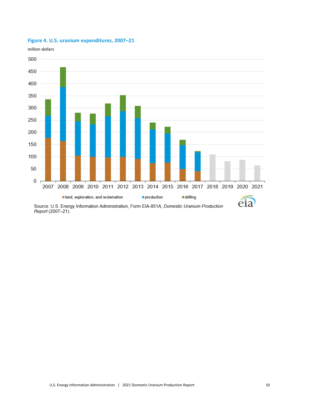

## <span id="page-13-0"></span>**Figure 4. U.S. uranium expenditures, 2007–21**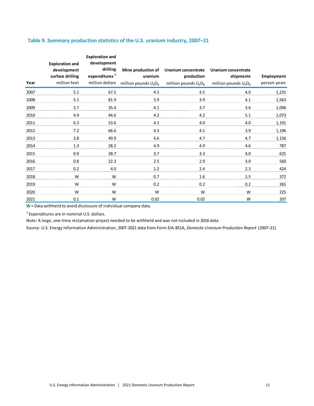## <span id="page-14-0"></span>**Table 9. Summary production statistics of the U.S. uranium industry, 2007–21**

| Year | <b>Exploration and</b><br>development<br>surface drililng<br>million feet | <b>Exploration and</b><br>development<br>drilling<br>expenditures <sup>1</sup><br>million dollars | Mine production of<br>uranium<br>million pounds $U_3O_8$ | Uranium concentrate<br>production<br>million pounds $U_3O_8$ | Uranium concentrate<br>shipments<br>million pounds $U_3O_8$ | Employment<br>person-years |
|------|---------------------------------------------------------------------------|---------------------------------------------------------------------------------------------------|----------------------------------------------------------|--------------------------------------------------------------|-------------------------------------------------------------|----------------------------|
| 2007 | 5.1                                                                       | 67.5                                                                                              | 4.5                                                      | 4.5                                                          | 4.0                                                         | 1,231                      |
| 2008 | 5.1                                                                       | 81.9                                                                                              | 3.9                                                      | 3.9                                                          | 4.1                                                         | 1,563                      |
| 2009 | 3.7                                                                       | 35.4                                                                                              | 4.1                                                      | 3.7                                                          | 3.6                                                         | 1,096                      |
| 2010 | 4.9                                                                       | 44.6                                                                                              | 4.2                                                      | 4.2                                                          | 5.1                                                         | 1,073                      |
| 2011 | 6.3                                                                       | 53.6                                                                                              | 4.1                                                      | 4.0                                                          | 4.0                                                         | 1,191                      |
| 2012 | 7.2                                                                       | 66.6                                                                                              | 4.3                                                      | 4.1                                                          | 3.9                                                         | 1,196                      |
| 2013 | 3.8                                                                       | 49.9                                                                                              | 4.6                                                      | 4.7                                                          | 4.7                                                         | 1,156                      |
| 2014 | 1.3                                                                       | 28.2                                                                                              | 4.9                                                      | 4.9                                                          | 4.6                                                         | 787                        |
| 2015 | 0.9                                                                       | 28.7                                                                                              | 3.7                                                      | 3.3                                                          | 4.0                                                         | 625                        |
| 2016 | 0.8                                                                       | 22.3                                                                                              | 2.5                                                      | 2.9                                                          | 3.0                                                         | 560                        |
| 2017 | 0.2                                                                       | 4.0                                                                                               | 1.2                                                      | 2.4                                                          | 2.3                                                         | 424                        |
| 2018 | W                                                                         | W                                                                                                 | 0.7                                                      | 1.6                                                          | 1.5                                                         | 372                        |
| 2019 | W                                                                         | W                                                                                                 | 0.2                                                      | 0.2                                                          | 0.2                                                         | 265                        |
| 2020 | W                                                                         | W                                                                                                 | W                                                        | W                                                            | W                                                           | 225                        |
| 2021 | 0.1                                                                       | W                                                                                                 | 0.02                                                     | 0.02                                                         | W                                                           | 207                        |

W = Data withheld to avoid disclosure of individual company data.

<sup>1</sup> Expenditures are in nominal U.S. dollars.

Note: A large, one-time reclamation project needed to be withheld and was not included in 2016 data.

Source: U.S. Energy Information Administration, 2007-2021 data from Form EIA-851A, *Domestic Uranium Production Report* (2007–21)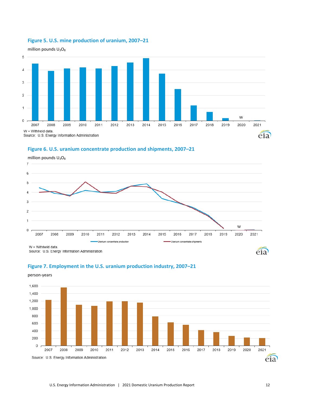<span id="page-15-0"></span>

million pounds  $U_3O_8$ 



## **Figure 6. U.S. uranium concentrate production and shipments, 2007–21**

<span id="page-15-1"></span>

#### <span id="page-15-2"></span>**Figure 7. Employment in the U.S. uranium production industry, 2007–21**

person-years